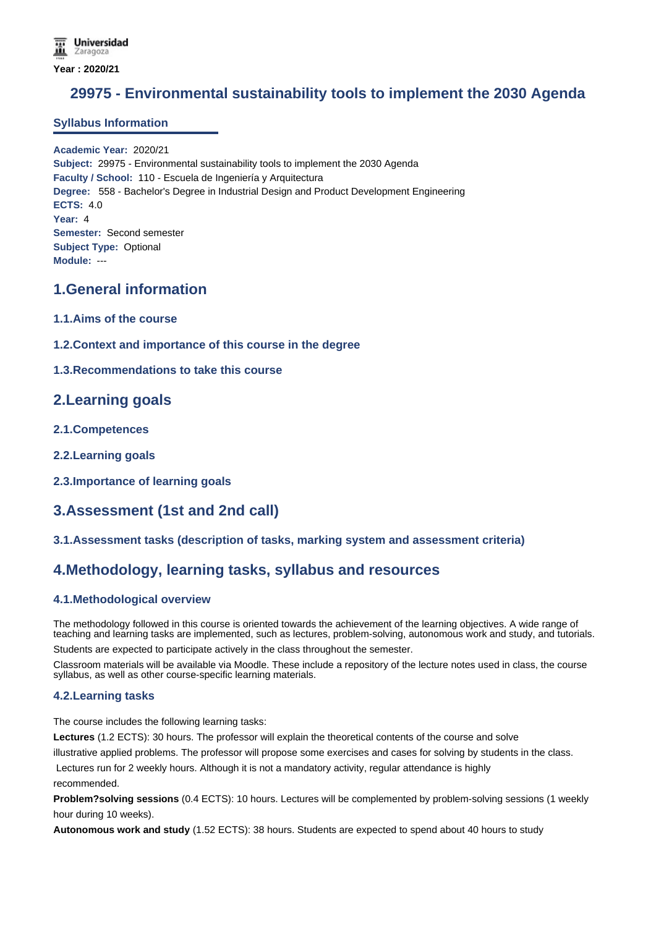# **29975 - Environmental sustainability tools to implement the 2030 Agenda**

### **Syllabus Information**

**Academic Year:** 2020/21 **Subject:** 29975 - Environmental sustainability tools to implement the 2030 Agenda **Faculty / School:** 110 - Escuela de Ingeniería y Arquitectura **Degree:** 558 - Bachelor's Degree in Industrial Design and Product Development Engineering **ECTS:** 4.0 **Year:** 4 **Semester:** Second semester **Subject Type:** Optional **Module:** ---

### **1.General information**

- **1.1.Aims of the course**
- **1.2.Context and importance of this course in the degree**

### **1.3.Recommendations to take this course**

### **2.Learning goals**

- **2.1.Competences**
- **2.2.Learning goals**
- **2.3.Importance of learning goals**

## **3.Assessment (1st and 2nd call)**

#### **3.1.Assessment tasks (description of tasks, marking system and assessment criteria)**

### **4.Methodology, learning tasks, syllabus and resources**

### **4.1.Methodological overview**

The methodology followed in this course is oriented towards the achievement of the learning objectives. A wide range of teaching and learning tasks are implemented, such as lectures, problem-solving, autonomous work and study, and tutorials.

Students are expected to participate actively in the class throughout the semester.

Classroom materials will be available via Moodle. These include a repository of the lecture notes used in class, the course syllabus, as well as other course-specific learning materials.

#### **4.2.Learning tasks**

The course includes the following learning tasks:

**Lectures** (1.2 ECTS): 30 hours. The professor will explain the theoretical contents of the course and solve

illustrative applied problems. The professor will propose some exercises and cases for solving by students in the class.

 Lectures run for 2 weekly hours. Although it is not a mandatory activity, regular attendance is highly recommended.

**Problem?solving sessions** (0.4 ECTS): 10 hours. Lectures will be complemented by problem-solving sessions (1 weekly hour during 10 weeks).

**Autonomous work and study** (1.52 ECTS): 38 hours. Students are expected to spend about 40 hours to study